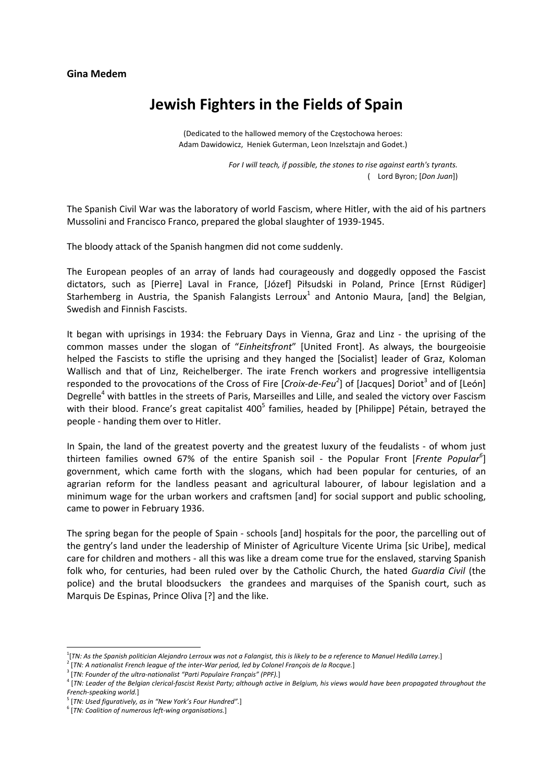## **Gina Medem**

## **Jewish Fighters in the Fields of Spain**

(Dedicated to the hallowed memory of the Częstochowa heroes: Adam Dawidowicz, Heniek Guterman, Leon Inzelsztajn and Godet.)

> *For I will teach, if possible, the stones to rise against earth's tyrants.* ( Lord Byron; [*Don Juan*])

The Spanish Civil War was the laboratory of world Fascism, where Hitler, with the aid of his partners Mussolini and Francisco Franco, prepared the global slaughter of 1939‐1945.

The bloody attack of the Spanish hangmen did not come suddenly.

The European peoples of an array of lands had courageously and doggedly opposed the Fascist dictators, such as [Pierre] Laval in France, [Józef] Piłsudski in Poland, Prince [Ernst Rüdiger] Starhemberg in Austria, the Spanish Falangists Lerroux<sup>1</sup> and Antonio Maura, [and] the Belgian, Swedish and Finnish Fascists.

It began with uprisings in 1934: the February Days in Vienna, Graz and Linz - the uprising of the common masses under the slogan of "*Einheitsfront*" [United Front]. As always, the bourgeoisie helped the Fascists to stifle the uprising and they hanged the [Socialist] leader of Graz, Koloman Wallisch and that of Linz, Reichelberger. The irate French workers and progressive intelligentsia responded to the provocations of the Cross of Fire [*Croix-de-Feu<sup>2</sup>*] of [Jacques] Doriot<sup>3</sup> and of [León] Degrelle<sup>4</sup> with battles in the streets of Paris, Marseilles and Lille, and sealed the victory over Fascism with their blood. France's great capitalist 400<sup>5</sup> families, headed by [Philippe] Pétain, betrayed the people ‐ handing them over to Hitler.

In Spain, the land of the greatest poverty and the greatest luxury of the feudalists - of whom just thirteen families owned 67% of the entire Spanish soil ‐ the Popular Front [*Frente Popular<sup>6</sup>* ] government, which came forth with the slogans, which had been popular for centuries, of an agrarian reform for the landless peasant and agricultural labourer, of labour legislation and a minimum wage for the urban workers and craftsmen [and] for social support and public schooling, came to power in February 1936.

The spring began for the people of Spain ‐ schools [and] hospitals for the poor, the parcelling out of the gentry's land under the leadership of Minister of Agriculture Vicente Urima [sic Uribe], medical care for children and mothers ‐ all this was like a dream come true for the enslaved, starving Spanish folk who, for centuries, had been ruled over by the Catholic Church, the hated *Guardia Civil* (the police) and the brutal bloodsuckers the grandees and marquises of the Spanish court, such as Marquis De Espinas, Prince Oliva [?] and the like.

<sup>5</sup> [*TN: Used figuratively, as in "New York's Four Hundred".*]

 <sup>1</sup> [*TN: As the Spanish politician Alejandro Lerroux was not a Falangist, this is likely to be a reference to Manuel Hedilla Larrey*.]

<sup>2</sup> [*TN: A nationalist French league of the inter‐War period, led by Colonel François de la Rocque.*]

<sup>3</sup> [*TN: Founder of the ultra‐nationalist "Parti Populaire Français" (PPF).*]

<sup>&</sup>lt;sup>4</sup> [TN: Leader of the Belgian clerical-fascist Rexist Party; although active in Belgium, his views would have been propagated throughout the *French‐speaking world.*]

<sup>6</sup> [*TN: Coalition of numerous left‐wing organisations.*]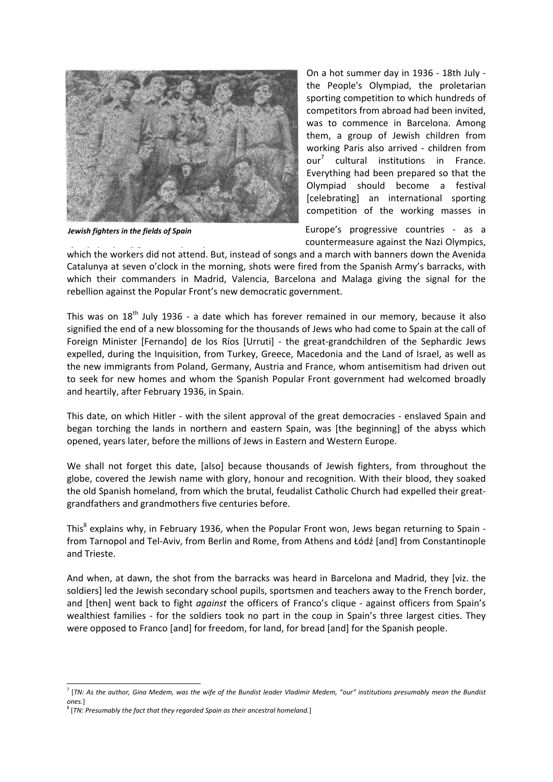

*Jewish fighters in the fields of Spain* 

On a hot summer day in 1936 ‐ 18th July ‐ the People's Olympiad, the proletarian sporting competition to which hundreds of competitors from abroad had been invited, was to commence in Barcelona. Among them, a group of Jewish children from working Paris also arrived - children from our<sup>7</sup> cultural institutions in France. Everything had been prepared so that the Olympiad should become a festival [celebrating] an international sporting competition of the working masses in

Europe's progressive countries ‐ as a countermeasure against the Nazi Olympics,

which the workers did not attend. But, instead of songs and a march with banners down the Avenida *( kd h " " h )*Catalunya at seven o'clock in the morning, shots were fired from the Spanish Army's barracks, with which their commanders in Madrid, Valencia, Barcelona and Malaga giving the signal for the rebellion against the Popular Front's new democratic government.

This was on  $18<sup>th</sup>$  July 1936 - a date which has forever remained in our memory, because it also signified the end of a new blossoming for the thousands of Jews who had come to Spain at the call of Foreign Minister [Fernando] de los Ríos [Urruti] - the great-grandchildren of the Sephardic Jews expelled, during the Inquisition, from Turkey, Greece, Macedonia and the Land of Israel, as well as the new immigrants from Poland, Germany, Austria and France, whom antisemitism had driven out to seek for new homes and whom the Spanish Popular Front government had welcomed broadly and heartily, after February 1936, in Spain.

This date, on which Hitler - with the silent approval of the great democracies - enslaved Spain and began torching the lands in northern and eastern Spain, was [the beginning] of the abyss which opened, years later, before the millions of Jews in Eastern and Western Europe.

We shall not forget this date. [also] because thousands of Jewish fighters, from throughout the globe, covered the Jewish name with glory, honour and recognition. With their blood, they soaked the old Spanish homeland, from which the brutal, feudalist Catholic Church had expelled their great‐ grandfathers and grandmothers five centuries before.

This<sup>8</sup> explains why, in February 1936, when the Popular Front won, Jews began returning to Spain from Tarnopol and Tel‐Aviv, from Berlin and Rome, from Athens and Łódź [and] from Constantinople and Trieste.

And when, at dawn, the shot from the barracks was heard in Barcelona and Madrid, they [viz. the soldiers] led the Jewish secondary school pupils, sportsmen and teachers away to the French border, and [then] went back to fight *against* the officers of Franco's clique - against officers from Spain's wealthiest families - for the soldiers took no part in the coup in Spain's three largest cities. They were opposed to Franco [and] for freedom, for land, for bread [and] for the Spanish people.

<sup>&</sup>lt;sup>7</sup> [TN: As the author, Gina Medem, was the wife of the Bundist leader Vladimir Medem, "our" institutions presumably mean the Bundist *ones.*]

<sup>8</sup> [*TN: Presumably the fact that they regarded Spain as their ancestral homeland.*]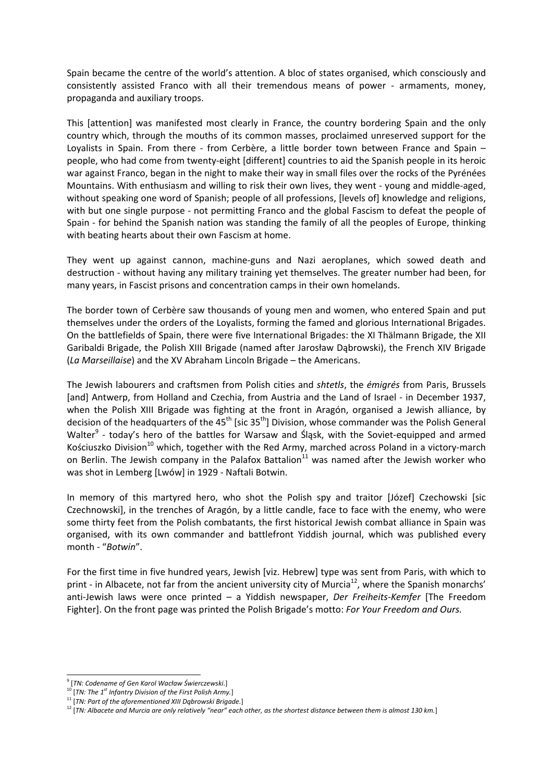Spain became the centre of the world's attention. A bloc of states organised, which consciously and consistently assisted Franco with all their tremendous means of power - armaments, money, propaganda and auxiliary troops.

This [attention] was manifested most clearly in France, the country bordering Spain and the only country which, through the mouths of its common masses, proclaimed unreserved support for the Loyalists in Spain. From there - from Cerbère, a little border town between France and Spain – people, who had come from twenty‐eight [different] countries to aid the Spanish people in its heroic war against Franco, began in the night to make their way in small files over the rocks of the Pyrénées Mountains. With enthusiasm and willing to risk their own lives, they went - young and middle-aged, without speaking one word of Spanish; people of all professions, [levels of] knowledge and religions, with but one single purpose - not permitting Franco and the global Fascism to defeat the people of Spain ‐ for behind the Spanish nation was standing the family of all the peoples of Europe, thinking with beating hearts about their own Fascism at home.

They went up against cannon, machine‐guns and Nazi aeroplanes, which sowed death and destruction ‐ without having any military training yet themselves. The greater number had been, for many years, in Fascist prisons and concentration camps in their own homelands.

The border town of Cerbère saw thousands of young men and women, who entered Spain and put themselves under the orders of the Loyalists, forming the famed and glorious International Brigades. On the battlefields of Spain, there were five International Brigades: the XI Thälmann Brigade, the XII Garibaldi Brigade, the Polish XIII Brigade (named after Jarosław Dąbrowski), the French XIV Brigade (*La Marseillaise*) and the XV Abraham Lincoln Brigade – the Americans.

The Jewish labourers and craftsmen from Polish cities and *shtetls*, the *émigrés* from Paris, Brussels [and] Antwerp, from Holland and Czechia, from Austria and the Land of Israel ‐ in December 1937, when the Polish XIII Brigade was fighting at the front in Aragón, organised a Jewish alliance, by decision of the headquarters of the  $45<sup>th</sup>$  [sic 35<sup>th</sup>] Division, whose commander was the Polish General Walter<sup>9</sup> - today's hero of the battles for Warsaw and Śląsk, with the Soviet-equipped and armed Kościuszko Division<sup>10</sup> which, together with the Red Army, marched across Poland in a victory-march on Berlin. The Jewish company in the Palafox Battalion<sup>11</sup> was named after the Jewish worker who was shot in Lemberg [Lwów] in 1929 ‐ Naftali Botwin.

In memory of this martyred hero, who shot the Polish spy and traitor [Józef] Czechowski [sic Czechnowski], in the trenches of Aragón, by a little candle, face to face with the enemy, who were some thirty feet from the Polish combatants, the first historical Jewish combat alliance in Spain was organised, with its own commander and battlefront Yiddish journal, which was published every month ‐ "*Botwin*".

For the first time in five hundred years, Jewish [viz. Hebrew] type was sent from Paris, with which to print - in Albacete, not far from the ancient university city of Murcia<sup>12</sup>, where the Spanish monarchs' anti‐Jewish laws were once printed – a Yiddish newspaper, *Der Freiheits‐Kemfer* [The Freedom Fighter]. On the front page was printed the Polish Brigade's motto: *For Your Freedom and Ours.*

 <sup>9</sup> [*TN: Codename of Gen Karol Wacław Świerczewski.*] <sup>10</sup> [*TN: The <sup>1</sup>*

*st Infantry Division of the First Polish Army.*]

<sup>11</sup> [*TN: Part of the aforementioned XIII Dąbrowski Brigade.*]

<sup>&</sup>lt;sup>12</sup> [TN: Albacete and Murcia are only relatively "near" each other, as the shortest distance between them is almost 130 km.]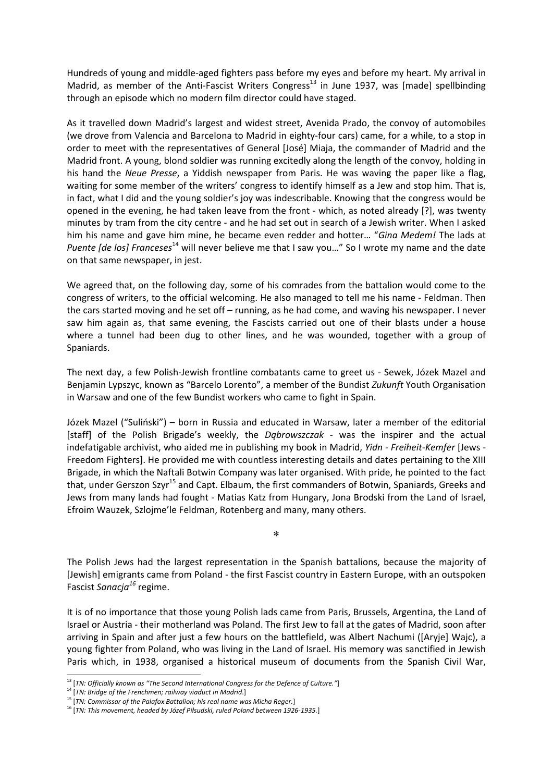Hundreds of young and middle‐aged fighters pass before my eyes and before my heart. My arrival in Madrid, as member of the Anti-Fascist Writers Congress<sup>13</sup> in June 1937, was [made] spellbinding through an episode which no modern film director could have staged.

As it travelled down Madrid's largest and widest street, Avenida Prado, the convoy of automobiles (we drove from Valencia and Barcelona to Madrid in eighty‐four cars) came, for a while, to a stop in order to meet with the representatives of General [José] Miaja, the commander of Madrid and the Madrid front. A young, blond soldier was running excitedly along the length of the convoy, holding in his hand the *Neue Presse*, a Yiddish newspaper from Paris. He was waving the paper like a flag, waiting for some member of the writers' congress to identify himself as a Jew and stop him. That is, in fact, what I did and the young soldier's joy was indescribable. Knowing that the congress would be opened in the evening, he had taken leave from the front ‐ which, as noted already [?], was twenty minutes by tram from the city centre ‐ and he had set out in search of a Jewish writer. When I asked him his name and gave him mine, he became even redder and hotter… "*Gina Medem!* The lads at *Puente [de los] Franceses*<sup>14</sup> will never believe me that I saw you…" So I wrote my name and the date on that same newspaper, in jest.

We agreed that, on the following day, some of his comrades from the battalion would come to the congress of writers, to the official welcoming. He also managed to tell me his name ‐ Feldman. Then the cars started moving and he set off – running, as he had come, and waving his newspaper. I never saw him again as, that same evening, the Fascists carried out one of their blasts under a house where a tunnel had been dug to other lines, and he was wounded, together with a group of Spaniards.

The next day, a few Polish‐Jewish frontline combatants came to greet us ‐ Sewek, Józek Mazel and Benjamin Lypszyc, known as "Barcelo Lorento", a member of the Bundist *Zukunft* Youth Organisation in Warsaw and one of the few Bundist workers who came to fight in Spain.

Józek Mazel ("Suliński") – born in Russia and educated in Warsaw, later a member of the editorial [staff] of the Polish Brigade's weekly, the *Dąbrowszczak* ‐ was the inspirer and the actual indefatigable archivist, who aided me in publishing my book in Madrid, *Yidn ‐ Freiheit‐Kemfer* [Jews ‐ Freedom Fighters]. He provided me with countless interesting details and dates pertaining to the XIII Brigade, in which the Naftali Botwin Company was later organised. With pride, he pointed to the fact that, under Gerszon Szyr<sup>15</sup> and Capt. Elbaum, the first commanders of Botwin, Spaniards, Greeks and Jews from many lands had fought ‐ Matias Katz from Hungary, Jona Brodski from the Land of Israel, Efroim Wauzek, Szlojme'le Feldman, Rotenberg and many, many others.

The Polish Jews had the largest representation in the Spanish battalions, because the majority of [Jewish] emigrants came from Poland ‐ the first Fascist country in Eastern Europe, with an outspoken Fascist *Sanacja<sup>16</sup>* regime.

\*

It is of no importance that those young Polish lads came from Paris, Brussels, Argentina, the Land of Israel or Austria ‐ their motherland was Poland. The first Jew to fall at the gates of Madrid, soon after arriving in Spain and after just a few hours on the battlefield, was Albert Nachumi ([Aryje] Wajc), a young fighter from Poland, who was living in the Land of Israel. His memory was sanctified in Jewish Paris which, in 1938, organised a historical museum of documents from the Spanish Civil War,

<sup>&</sup>lt;sup>13</sup> [TN: Officially known as "The Second International Congress for the Defence of Culture."]<br><sup>14</sup> [TN: Bridge of the Frenchmen; railway viaduct in Madrid.]

<sup>15</sup> [*TN: Commissar of the Palafox Battalion; his real name was Micha Reger.*]

<sup>16</sup> [*TN: This movement, headed by Józef Piłsudski, ruled Poland between 1926‐1935.*]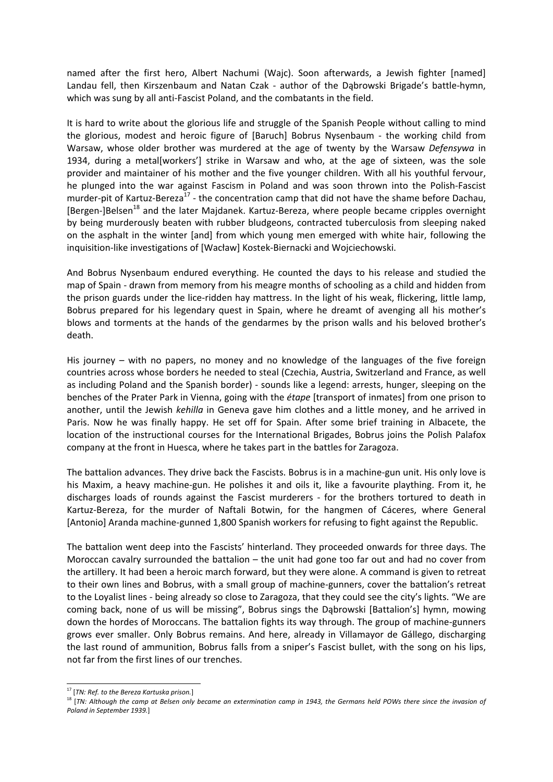named after the first hero, Albert Nachumi (Wajc). Soon afterwards, a Jewish fighter [named] Landau fell, then Kirszenbaum and Natan Czak - author of the Dąbrowski Brigade's battle-hymn, which was sung by all anti-Fascist Poland, and the combatants in the field.

It is hard to write about the glorious life and struggle of the Spanish People without calling to mind the glorious, modest and heroic figure of [Baruch] Bobrus Nysenbaum ‐ the working child from Warsaw, whose older brother was murdered at the age of twenty by the Warsaw *Defensywa* in 1934, during a metal[workers'] strike in Warsaw and who, at the age of sixteen, was the sole provider and maintainer of his mother and the five younger children. With all his youthful fervour, he plunged into the war against Fascism in Poland and was soon thrown into the Polish‐Fascist murder-pit of Kartuz-Bereza<sup>17</sup> - the concentration camp that did not have the shame before Dachau, [Bergen-]Belsen<sup>18</sup> and the later Majdanek. Kartuz-Bereza, where people became cripples overnight by being murderously beaten with rubber bludgeons, contracted tuberculosis from sleeping naked on the asphalt in the winter [and] from which young men emerged with white hair, following the inquisition‐like investigations of [Wacław] Kostek‐Biernacki and Wojciechowski.

And Bobrus Nysenbaum endured everything. He counted the days to his release and studied the map of Spain ‐ drawn from memory from his meagre months of schooling as a child and hidden from the prison guards under the lice-ridden hay mattress. In the light of his weak, flickering, little lamp, Bobrus prepared for his legendary quest in Spain, where he dreamt of avenging all his mother's blows and torments at the hands of the gendarmes by the prison walls and his beloved brother's death.

His journey – with no papers, no money and no knowledge of the languages of the five foreign countries across whose borders he needed to steal (Czechia, Austria, Switzerland and France, as well as including Poland and the Spanish border) ‐ sounds like a legend: arrests, hunger, sleeping on the benches of the Prater Park in Vienna, going with the *étape* [transport of inmates] from one prison to another, until the Jewish *kehilla* in Geneva gave him clothes and a little money, and he arrived in Paris. Now he was finally happy. He set off for Spain. After some brief training in Albacete, the location of the instructional courses for the International Brigades, Bobrus joins the Polish Palafox company at the front in Huesca, where he takes part in the battles for Zaragoza.

The battalion advances. They drive back the Fascists. Bobrus is in a machine‐gun unit. His only love is his Maxim, a heavy machine-gun. He polishes it and oils it, like a favourite plaything. From it, he discharges loads of rounds against the Fascist murderers ‐ for the brothers tortured to death in Kartuz‐Bereza, for the murder of Naftali Botwin, for the hangmen of Cáceres, where General [Antonio] Aranda machine‐gunned 1,800 Spanish workers for refusing to fight against the Republic.

The battalion went deep into the Fascists' hinterland. They proceeded onwards for three days. The Moroccan cavalry surrounded the battalion – the unit had gone too far out and had no cover from the artillery. It had been a heroic march forward, but they were alone. A command is given to retreat to their own lines and Bobrus, with a small group of machine-gunners, cover the battalion's retreat to the Loyalist lines - being already so close to Zaragoza, that they could see the city's lights. "We are coming back, none of us will be missing", Bobrus sings the Dąbrowski [Battalion's] hymn, mowing down the hordes of Moroccans. The battalion fights its way through. The group of machine‐gunners grows ever smaller. Only Bobrus remains. And here, already in Villamayor de Gállego, discharging the last round of ammunition, Bobrus falls from a sniper's Fascist bullet, with the song on his lips, not far from the first lines of our trenches.

 <sup>17</sup> [*TN: Ref. to the Bereza Kartuska prison.*]

<sup>&</sup>lt;sup>18</sup> [TN: Although the camp at Belsen only became an extermination camp in 1943, the Germans held POWs there since the invasion of *Poland in September 1939.*]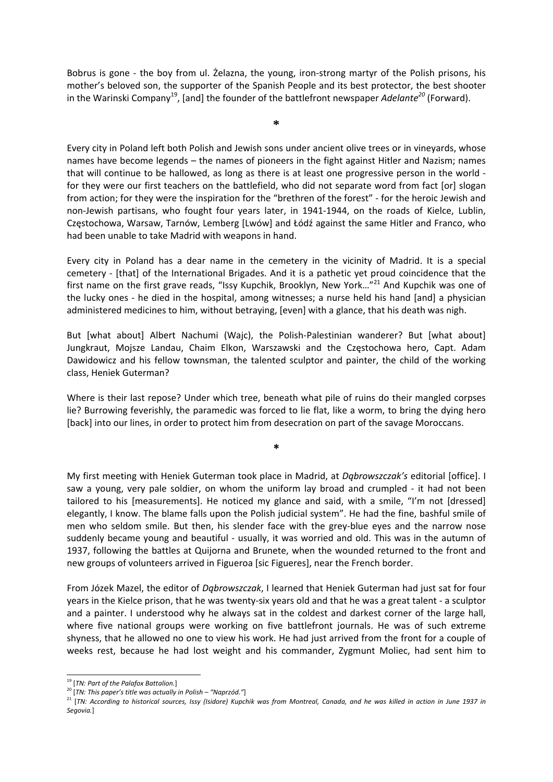Bobrus is gone - the boy from ul. Żelazna, the young, iron-strong martyr of the Polish prisons, his mother's beloved son, the supporter of the Spanish People and its best protector, the best shooter in the Warinski Company<sup>19</sup>, [and] the founder of the battlefront newspaper *Adelante*<sup>20</sup> (Forward).

**\*** 

Every city in Poland left both Polish and Jewish sons under ancient olive trees or in vineyards, whose names have become legends – the names of pioneers in the fight against Hitler and Nazism; names that will continue to be hallowed, as long as there is at least one progressive person in the world ‐ for they were our first teachers on the battlefield, who did not separate word from fact [or] slogan from action; for they were the inspiration for the "brethren of the forest" ‐ for the heroic Jewish and non‐Jewish partisans, who fought four years later, in 1941‐1944, on the roads of Kielce, Lublin, Częstochowa, Warsaw, Tarnów, Lemberg [Lwów] and Łódź against the same Hitler and Franco, who had been unable to take Madrid with weapons in hand.

Every city in Poland has a dear name in the cemetery in the vicinity of Madrid. It is a special cemetery ‐ [that] of the International Brigades. And it is a pathetic yet proud coincidence that the first name on the first grave reads, "Issy Kupchik, Brooklyn, New York..."<sup>21</sup> And Kupchik was one of the lucky ones - he died in the hospital, among witnesses; a nurse held his hand [and] a physician administered medicines to him, without betraying, [even] with a glance, that his death was nigh.

But [what about] Albert Nachumi (Wajc), the Polish‐Palestinian wanderer? But [what about] Jungkraut, Mojsze Landau, Chaim Elkon, Warszawski and the Częstochowa hero, Capt. Adam Dawidowicz and his fellow townsman, the talented sculptor and painter, the child of the working class, Heniek Guterman?

Where is their last repose? Under which tree, beneath what pile of ruins do their mangled corpses lie? Burrowing feverishly, the paramedic was forced to lie flat, like a worm, to bring the dying hero [back] into our lines, in order to protect him from desecration on part of the savage Moroccans.

**\***

My first meeting with Heniek Guterman took place in Madrid, at *Dąbrowszczak's* editorial [office]. I saw a young, very pale soldier, on whom the uniform lay broad and crumpled - it had not been tailored to his [measurements]. He noticed my glance and said, with a smile, "I'm not [dressed] elegantly, I know. The blame falls upon the Polish judicial system". He had the fine, bashful smile of men who seldom smile. But then, his slender face with the grey‐blue eyes and the narrow nose suddenly became young and beautiful - usually, it was worried and old. This was in the autumn of 1937, following the battles at Quijorna and Brunete, when the wounded returned to the front and new groups of volunteers arrived in Figueroa [sic Figueres], near the French border.

From Józek Mazel, the editor of *Dąbrowszczak*, I learned that Heniek Guterman had just sat for four years in the Kielce prison, that he was twenty‐six years old and that he was a great talent ‐ a sculptor and a painter. I understood why he always sat in the coldest and darkest corner of the large hall, where five national groups were working on five battlefront journals. He was of such extreme shyness, that he allowed no one to view his work. He had just arrived from the front for a couple of weeks rest, because he had lost weight and his commander, Zygmunt Moliec, had sent him to

 <sup>19</sup> [*TN: Part of the Palafox Battalion.*] <sup>20</sup> [*TN: This paper's title was actually in Polish – "Naprzód."*]

<sup>&</sup>lt;sup>21</sup> [TN: According to historical sources, Issy (Isidore) Kupchik was from Montreal, Canada, and he was killed in action in June 1937 in *Segovia.*]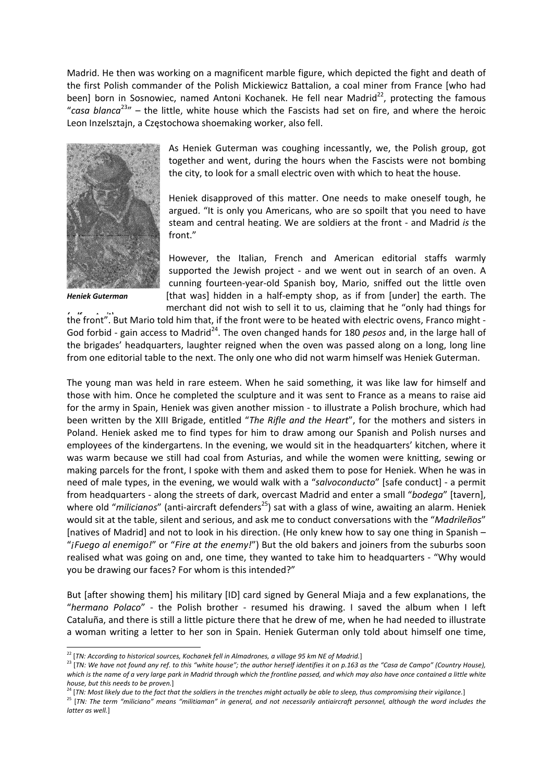Madrid. He then was working on a magnificent marble figure, which depicted the fight and death of the first Polish commander of the Polish Mickiewicz Battalion, a coal miner from France [who had been] born in Sosnowiec, named Antoni Kochanek. He fell near Madrid<sup>22</sup>, protecting the famous "*casa blanca*23" – the little, white house which the Fascists had set on fire, and where the heroic Leon Inzelsztajn, a Częstochowa shoemaking worker, also fell.



*Heniek Guterman* 

As Heniek Guterman was coughing incessantly, we, the Polish group, got together and went, during the hours when the Fascists were not bombing the city, to look for a small electric oven with which to heat the house.

Heniek disapproved of this matter. One needs to make oneself tough, he argued. "It is only you Americans, who are so spoilt that you need to have steam and central heating. We are soldiers at the front ‐ and Madrid *is* the front."

However, the Italian, French and American editorial staffs warmly supported the Jewish project - and we went out in search of an oven. A cunning fourteen‐year‐old Spanish boy, Mario, sniffed out the little oven [that was] hidden in a half-empty shop, as if from [under] the earth. The merchant did not wish to sell it to us, claiming that he "only had things for

the front". But Mario told him that, if the front were to be heated with electric ovens, Franco might -God forbid - gain access to Madrid<sup>24</sup>. The oven changed hands for 180 *pesos* and, in the large hall of the brigades' headquarters, laughter reigned when the oven was passed along on a long, long line from one editorial table to the next. The only one who did not warm himself was Heniek Guterman.

The young man was held in rare esteem. When he said something, it was like law for himself and those with him. Once he completed the sculpture and it was sent to France as a means to raise aid for the army in Spain, Heniek was given another mission ‐ to illustrate a Polish brochure, which had been written by the XIII Brigade, entitled "*The Rifle and the Heart*", for the mothers and sisters in Poland. Heniek asked me to find types for him to draw among our Spanish and Polish nurses and employees of the kindergartens. In the evening, we would sit in the headquarters' kitchen, where it was warm because we still had coal from Asturias, and while the women were knitting, sewing or making parcels for the front, I spoke with them and asked them to pose for Heniek. When he was in need of male types, in the evening, we would walk with a "*salvoconducto*" [safe conduct] ‐ a permit from headquarters ‐ along the streets of dark, overcast Madrid and enter a small "*bodega*" [tavern], where old "*milicianos*" (anti-aircraft defenders<sup>25</sup>) sat with a glass of wine, awaiting an alarm. Heniek would sit at the table, silent and serious, and ask me to conduct conversations with the "*Madrileños*" [natives of Madrid] and not to look in his direction. (He only knew how to say one thing in Spanish – "*¡Fuego al enemigo!*" or "*Fire at the enemy!*") But the old bakers and joiners from the suburbs soon realised what was going on and, one time, they wanted to take him to headquarters ‐ "Why would you be drawing our faces? For whom is this intended?"

But [after showing them] his military [ID] card signed by General Miaja and a few explanations, the "*hermano Polaco*" ‐ the Polish brother ‐ resumed his drawing. I saved the album when I left Cataluña, and there is still a little picture there that he drew of me, when he had needed to illustrate a woman writing a letter to her son in Spain. Heniek Guterman only told about himself one time,

<sup>25</sup> [TN: The term "miliciano" means "militiaman" in general, and not necessarily antiaircraft personnel, although the word includes the *latter as well.*]

 <sup>22</sup> [*TN: According to historical sources, Kochanek fell in Almadrones, <sup>a</sup> village <sup>95</sup> km NE of Madrid.*]

<sup>&</sup>lt;sup>23</sup> [TN: We have not found any ref. to this "white house"; the author herself identifies it on p.163 as the "Casa de Campo" (Country House), which is the name of a very large park in Madrid through which the frontline passed, and which may also have once contained a little white house, but this needs to be proven.]<br><sup>24</sup> [TN: Most likely due to the fact that the soldiers in the trenches might actually be able to sleep, thus compromising their vigilance.]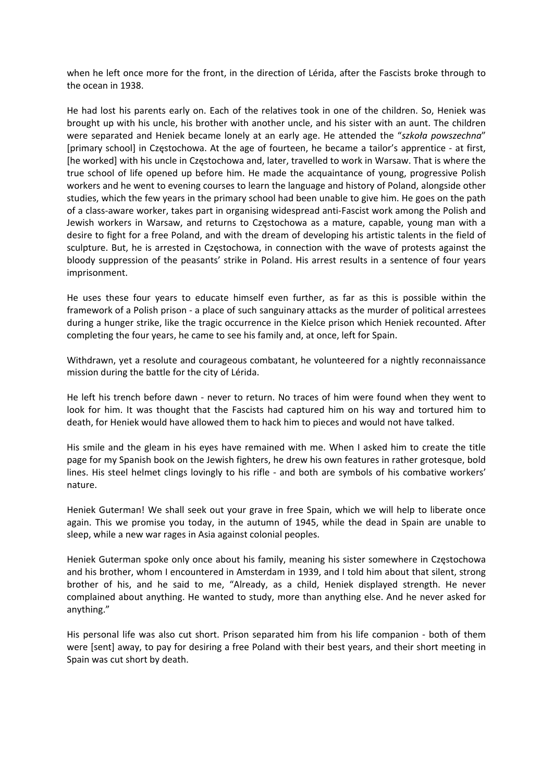when he left once more for the front, in the direction of Lérida, after the Fascists broke through to the ocean in 1938.

He had lost his parents early on. Each of the relatives took in one of the children. So, Heniek was brought up with his uncle, his brother with another uncle, and his sister with an aunt. The children were separated and Heniek became lonely at an early age. He attended the "*szkoła powszechna*" [primary school] in Częstochowa. At the age of fourteen, he became a tailor's apprentice ‐ at first, [he worked] with his uncle in Częstochowa and, later, travelled to work in Warsaw. That is where the true school of life opened up before him. He made the acquaintance of young, progressive Polish workers and he went to evening courses to learn the language and history of Poland, alongside other studies, which the few years in the primary school had been unable to give him. He goes on the path of a class‐aware worker, takes part in organising widespread anti‐Fascist work among the Polish and Jewish workers in Warsaw, and returns to Częstochowa as a mature, capable, young man with a desire to fight for a free Poland, and with the dream of developing his artistic talents in the field of sculpture. But, he is arrested in Częstochowa, in connection with the wave of protests against the bloody suppression of the peasants' strike in Poland. His arrest results in a sentence of four years imprisonment.

He uses these four years to educate himself even further, as far as this is possible within the framework of a Polish prison ‐ a place of such sanguinary attacks as the murder of political arrestees during a hunger strike, like the tragic occurrence in the Kielce prison which Heniek recounted. After completing the four years, he came to see his family and, at once, left for Spain.

Withdrawn, yet a resolute and courageous combatant, he volunteered for a nightly reconnaissance mission during the battle for the city of Lérida.

He left his trench before dawn - never to return. No traces of him were found when they went to look for him. It was thought that the Fascists had captured him on his way and tortured him to death, for Heniek would have allowed them to hack him to pieces and would not have talked.

His smile and the gleam in his eyes have remained with me. When I asked him to create the title page for my Spanish book on the Jewish fighters, he drew his own features in rather grotesque, bold lines. His steel helmet clings lovingly to his rifle - and both are symbols of his combative workers' nature.

Heniek Guterman! We shall seek out your grave in free Spain, which we will help to liberate once again. This we promise you today, in the autumn of 1945, while the dead in Spain are unable to sleep, while a new war rages in Asia against colonial peoples.

Heniek Guterman spoke only once about his family, meaning his sister somewhere in Częstochowa and his brother, whom I encountered in Amsterdam in 1939, and I told him about that silent, strong brother of his, and he said to me, "Already, as a child, Heniek displayed strength. He never complained about anything. He wanted to study, more than anything else. And he never asked for anything."

His personal life was also cut short. Prison separated him from his life companion - both of them were [sent] away, to pay for desiring a free Poland with their best years, and their short meeting in Spain was cut short by death.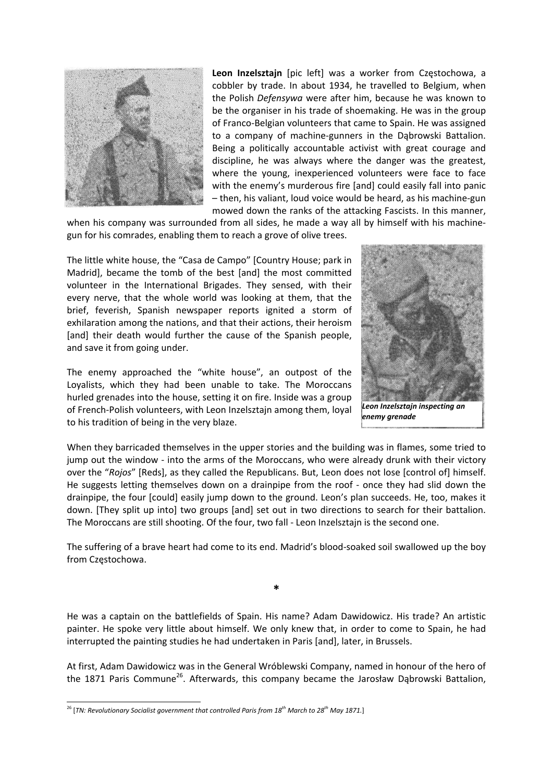

**Leon Inzelsztajn** [pic left] was a worker from Częstochowa, a cobbler by trade. In about 1934, he travelled to Belgium, when the Polish *Defensywa* were after him, because he was known to be the organiser in his trade of shoemaking. He was in the group of Franco‐Belgian volunteers that came to Spain. He was assigned to a company of machine‐gunners in the Dąbrowski Battalion. Being a politically accountable activist with great courage and discipline, he was always where the danger was the greatest, where the young, inexperienced volunteers were face to face with the enemy's murderous fire [and] could easily fall into panic – then, his valiant, loud voice would be heard, as his machine‐gun mowed down the ranks of the attacking Fascists. In this manner,

when his company was surrounded from all sides, he made a way all by himself with his machinegun for his comrades, enabling them to reach a grove of olive trees.

The little white house, the "Casa de Campo" [Country House; park in Madrid], became the tomb of the best [and] the most committed volunteer in the International Brigades. They sensed, with their every nerve, that the whole world was looking at them, that the brief, feverish, Spanish newspaper reports ignited a storm of exhilaration among the nations, and that their actions, their heroism [and] their death would further the cause of the Spanish people, and save it from going under.

The enemy approached the "white house", an outpost of the Loyalists, which they had been unable to take. The Moroccans hurled grenades into the house, setting it on fire. Inside was a group of French‐Polish volunteers, with Leon Inzelsztajn among them, loyal to his tradition of being in the very blaze.



When they barricaded themselves in the upper stories and the building was in flames, some tried to jump out the window - into the arms of the Moroccans, who were already drunk with their victory over the "*Rojos*" [Reds], as they called the Republicans. But, Leon does not lose [control of] himself. He suggests letting themselves down on a drainpipe from the roof - once they had slid down the drainpipe, the four [could] easily jump down to the ground. Leon's plan succeeds. He, too, makes it down. [They split up into] two groups [and] set out in two directions to search for their battalion. The Moroccans are still shooting. Of the four, two fall ‐ Leon Inzelsztajn is the second one.

The suffering of a brave heart had come to its end. Madrid's blood-soaked soil swallowed up the boy from Częstochowa.

**\***

He was a captain on the battlefields of Spain. His name? Adam Dawidowicz. His trade? An artistic painter. He spoke very little about himself. We only knew that, in order to come to Spain, he had interrupted the painting studies he had undertaken in Paris [and], later, in Brussels.

At first, Adam Dawidowicz was in the General Wróblewski Company, named in honour of the hero of the 1871 Paris Commune<sup>26</sup>. Afterwards, this company became the Jarosław Dąbrowski Battalion,

 <sup>26</sup> [*TN: Revolutionary Socialist government that controlled Paris from 18th March to 28th May 1871.*]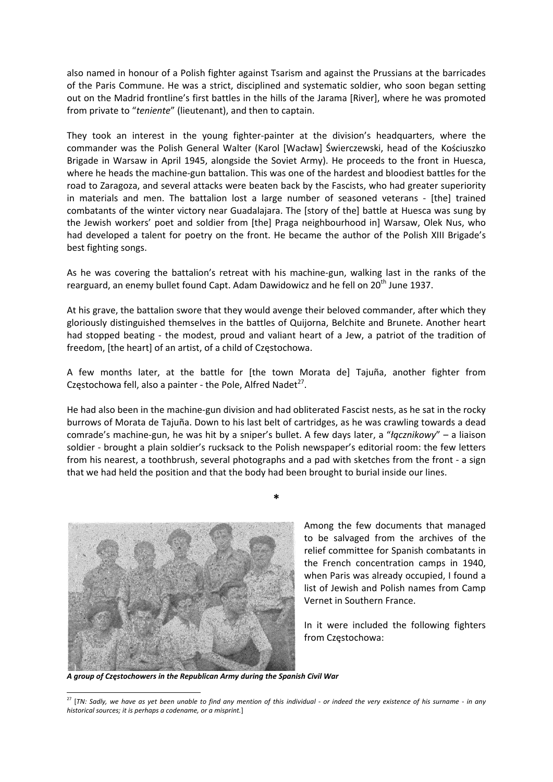also named in honour of a Polish fighter against Tsarism and against the Prussians at the barricades of the Paris Commune. He was a strict, disciplined and systematic soldier, who soon began setting out on the Madrid frontline's first battles in the hills of the Jarama [River], where he was promoted from private to "*teniente*" (lieutenant), and then to captain.

They took an interest in the young fighter-painter at the division's headquarters, where the commander was the Polish General Walter (Karol [Wacław] Świerczewski, head of the Kościuszko Brigade in Warsaw in April 1945, alongside the Soviet Army). He proceeds to the front in Huesca, where he heads the machine‐gun battalion. This was one of the hardest and bloodiest battles for the road to Zaragoza, and several attacks were beaten back by the Fascists, who had greater superiority in materials and men. The battalion lost a large number of seasoned veterans - [the] trained combatants of the winter victory near Guadalajara. The [story of the] battle at Huesca was sung by the Jewish workers' poet and soldier from [the] Praga neighbourhood in] Warsaw, Olek Nus, who had developed a talent for poetry on the front. He became the author of the Polish XIII Brigade's best fighting songs.

As he was covering the battalion's retreat with his machine-gun, walking last in the ranks of the rearguard, an enemy bullet found Capt. Adam Dawidowicz and he fell on  $20<sup>th</sup>$  June 1937.

At his grave, the battalion swore that they would avenge their beloved commander, after which they gloriously distinguished themselves in the battles of Quijorna, Belchite and Brunete. Another heart had stopped beating - the modest, proud and valiant heart of a Jew, a patriot of the tradition of freedom, [the heart] of an artist, of a child of Częstochowa.

A few months later, at the battle for [the town Morata de] Tajuña, another fighter from Częstochowa fell, also a painter - the Pole, Alfred Nadet<sup>27</sup>.

He had also been in the machine-gun division and had obliterated Fascist nests, as he sat in the rocky burrows of Morata de Tajuña. Down to his last belt of cartridges, as he was crawling towards a dead comrade's machine‐gun, he was hit by a sniper's bullet. A few days later, a "*łącznikowy*" – a liaison soldier - brought a plain soldier's rucksack to the Polish newspaper's editorial room: the few letters from his nearest, a toothbrush, several photographs and a pad with sketches from the front ‐ a sign that we had held the position and that the body had been brought to burial inside our lines.

**\***



Among the few documents that managed to be salvaged from the archives of the relief committee for Spanish combatants in the French concentration camps in 1940, when Paris was already occupied, I found a list of Jewish and Polish names from Camp Vernet in Southern France.

In it were included the following fighters from Częstochowa:

*A group of Częstochowers in the Republican Army during the Spanish Civil War*

<sup>&</sup>lt;sup>27</sup> [TN: Sadly, we have as yet been unable to find any mention of this individual - or indeed the very existence of his surname - in any *historical sources; it is perhaps a codename, or a misprint.*]